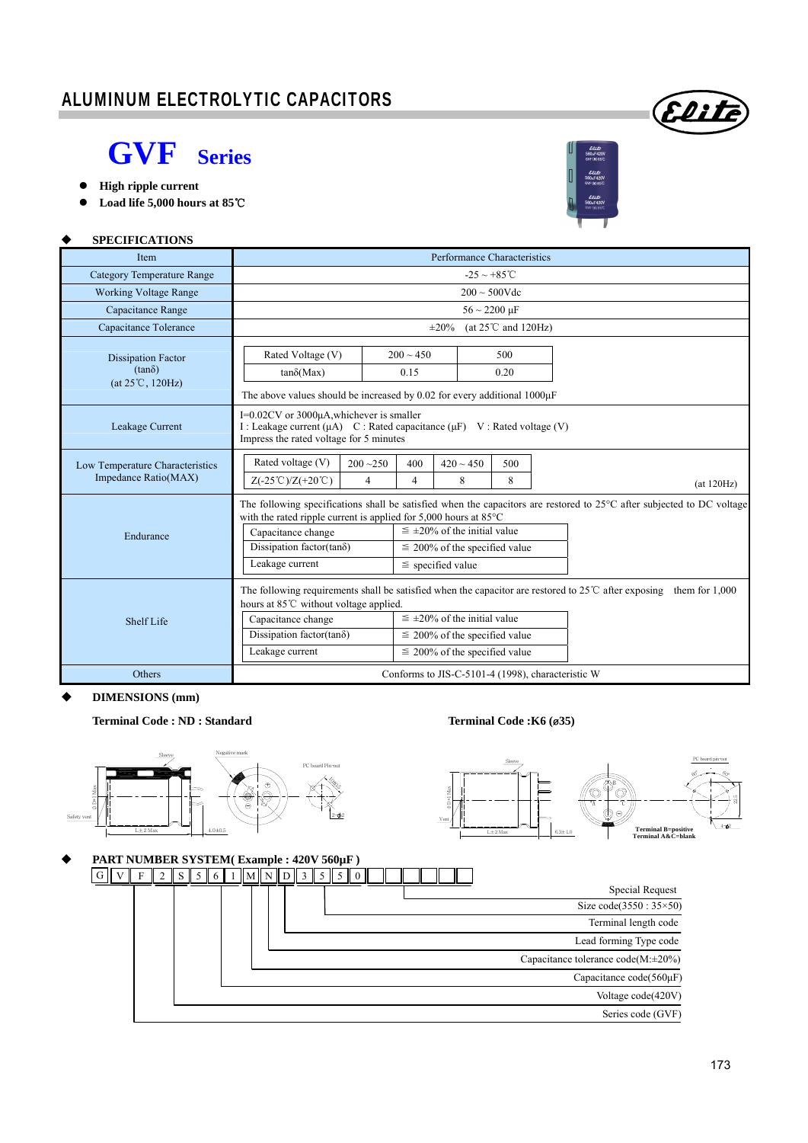### ALUMINUM ELECTROLYTIC CAPACITORS

#### **GVF Series Series**

**High ripple current** 

**SPECIFICATIONS**

**Load life 5,000 hours at 85**℃ 



Elit

| Item                                                                    | Performance Characteristics                                                                                                                                                                                                            |                                                                                                                                  |                                                                                                                  |                  |  |  |  |  |  |
|-------------------------------------------------------------------------|----------------------------------------------------------------------------------------------------------------------------------------------------------------------------------------------------------------------------------------|----------------------------------------------------------------------------------------------------------------------------------|------------------------------------------------------------------------------------------------------------------|------------------|--|--|--|--|--|
| <b>Category Temperature Range</b>                                       | $-25 \sim +85^{\circ}$ C                                                                                                                                                                                                               |                                                                                                                                  |                                                                                                                  |                  |  |  |  |  |  |
| <b>Working Voltage Range</b>                                            | $200 \sim 500V$ dc                                                                                                                                                                                                                     |                                                                                                                                  |                                                                                                                  |                  |  |  |  |  |  |
| Capacitance Range                                                       | $56 \sim 2200 \mu F$                                                                                                                                                                                                                   |                                                                                                                                  |                                                                                                                  |                  |  |  |  |  |  |
| Capacitance Tolerance                                                   | (at $25^{\circ}$ C and 120Hz)<br>$\pm 20\%$                                                                                                                                                                                            |                                                                                                                                  |                                                                                                                  |                  |  |  |  |  |  |
| <b>Dissipation Factor</b><br>$(tan\delta)$<br>$(at 25^{\circ}C, 120Hz)$ | Rated Voltage (V)<br>$tan\delta(Max)$<br>The above values should be increased by 0.02 for every additional $1000\mu$ F                                                                                                                 | $200 \sim 450$<br>0.15                                                                                                           | 500<br>0.20                                                                                                      |                  |  |  |  |  |  |
| Leakage Current                                                         | I= $0.02$ CV or 3000 $\mu$ A, whichever is smaller<br>I: Leakage current $(\mu A)$ C: Rated capacitance $(\mu F)$ V: Rated voltage (V)<br>Impress the rated voltage for 5 minutes                                                      |                                                                                                                                  |                                                                                                                  |                  |  |  |  |  |  |
| Low Temperature Characteristics<br>Impedance Ratio(MAX)                 | Rated voltage (V)<br>$200 - 250$<br>$Z(-25^{\circ}\text{C})/Z(+20^{\circ}\text{C})$                                                                                                                                                    | (at 120Hz)                                                                                                                       |                                                                                                                  |                  |  |  |  |  |  |
| Endurance                                                               | with the rated ripple current is applied for $5,000$ hours at $85^{\circ}$ C<br>Capacitance change<br>Dissipation factor(tan $\delta$ )<br>Leakage current                                                                             | The following specifications shall be satisfied when the capacitors are restored to $25^{\circ}$ C after subjected to DC voltage |                                                                                                                  |                  |  |  |  |  |  |
| Shelf Life                                                              | The following requirements shall be satisfied when the capacitor are restored to $25^{\circ}$ C after exposing<br>hours at 85°C without voltage applied.<br>Capacitance change<br>Dissipation factor( $tan\delta$ )<br>Leakage current |                                                                                                                                  | $\leq \pm 20\%$ of the initial value<br>$\leq$ 200% of the specified value<br>$\leq$ 200% of the specified value | them for $1,000$ |  |  |  |  |  |
| Others                                                                  | Conforms to JIS-C-5101-4 (1998), characteristic W                                                                                                                                                                                      |                                                                                                                                  |                                                                                                                  |                  |  |  |  |  |  |

**DIMENSIONS (mm)** 

**Terminal Code : ND : Standard Terminal Code :K6 (**ø**35)** 

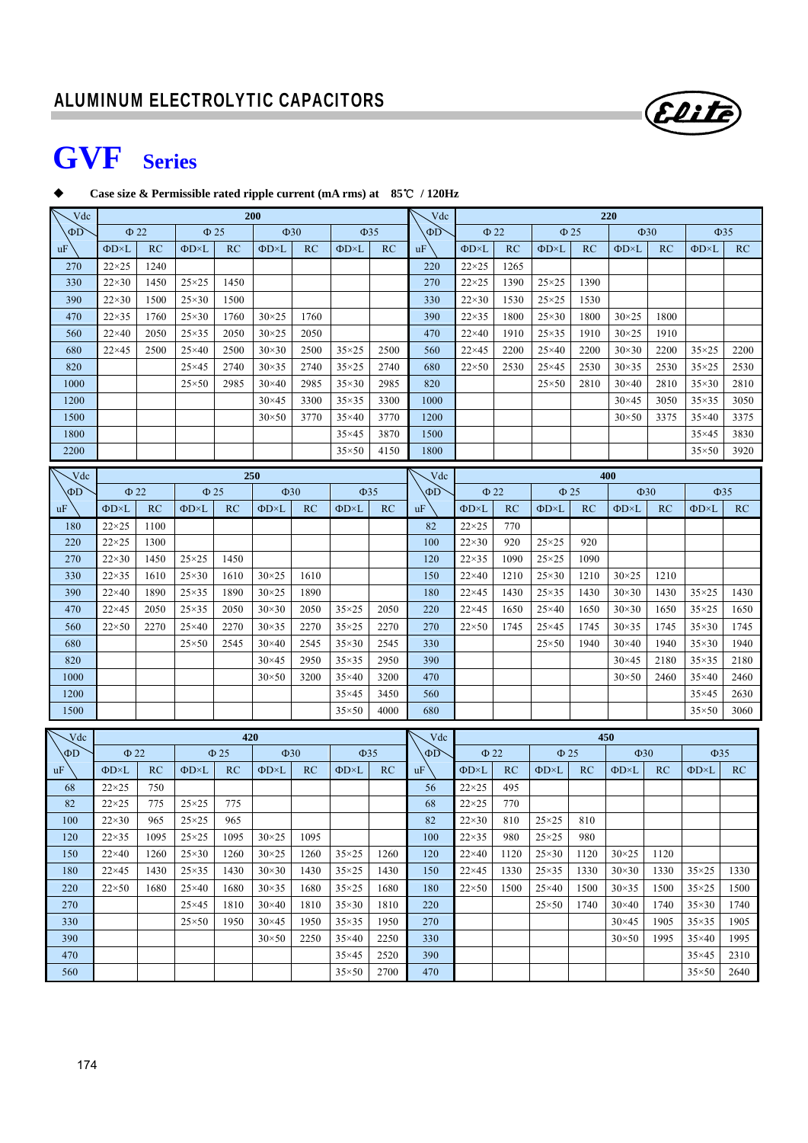

# **GVF Series**

#### **Case size & Permissible rated ripple current (mA rms) at 85**℃ **/ 120Hz**

| Vdc         | <b>200</b>                          |      |                   |           |                     | Vdc       | <b>220</b>          |           |           |                        |      |                     |           |                |      |                     |      |
|-------------|-------------------------------------|------|-------------------|-----------|---------------------|-----------|---------------------|-----------|-----------|------------------------|------|---------------------|-----------|----------------|------|---------------------|------|
| $\Phi$ D    | $\Phi$ 22                           |      | $\Phi$ 25         |           |                     | $\Phi$ 30 |                     | $\Phi$ 35 | $\Phi$ D  | $\Phi$ 22<br>$\Phi$ 25 |      | $\Phi$ 30           |           | $\Phi$ 35      |      |                     |      |
| <b>uF</b>   | $\Phi$ D $\times$ L                 | RC   | ΦD×L              | RC        | ФD×L                | RC        | $\Phi$ D $\times$ L | RC        | uF        | $\Phi$ D×L             | RC   | $\Phi$ D $\times$ L | RC        | ΦD×L           | RC   | $\Phi$ D $\times$ L | RC   |
| 270         | $22\times25$                        | 1240 |                   |           |                     |           |                     |           | 220       | $22\times25$           | 1265 |                     |           |                |      |                     |      |
| 330         | $22\times30$                        | 1450 | $25\times25$      | 1450      |                     |           |                     |           | 270       | $22\times25$           | 1390 | $25 \times 25$      | 1390      |                |      |                     |      |
| 390         | $22\times30$                        | 1500 | $25\times30$      | 1500      |                     |           |                     |           | 330       | $22\times30$           | 1530 | $25\times25$        | 1530      |                |      |                     |      |
| 470         | $22\times35$                        | 1760 | $25\times30$      | 1760      | $30\times25$        | 1760      |                     |           | 390       | $22\times35$           | 1800 | $25\times30$        | 1800      | $30\times25$   | 1800 |                     |      |
| 560         | $22\times40$                        | 2050 | $25\times35$      | 2050      | $30 \times 25$      | 2050      |                     |           | 470       | $22\times 40$          | 1910 | $25\times35$        | 1910      | $30 \times 25$ | 1910 |                     |      |
| 680         | $22\times 45$                       | 2500 | $25\times40$      | 2500      | $30\times30$        | 2500      | $35\times25$        | 2500      | 560       | $22\times 45$          | 2200 | $25\times40$        | 2200      | $30\times30$   | 2200 | $35\times25$        | 2200 |
| 820         |                                     |      | $25\times 45$     | 2740      | $30\times35$        | 2740      | $35\times25$        | 2740      | 680       | $22\times50$           | 2530 | $25\times 45$       | 2530      | $30\times35$   | 2530 | $35\times25$        | 2530 |
| 1000        |                                     |      | $25\times50$      | 2985      | $30\times40$        | 2985      | $35\times30$        | 2985      | 820       |                        |      | $25 \times 50$      | 2810      | $30\times40$   | 2810 | $35\times30$        | 2810 |
| 1200        |                                     |      |                   |           | $30\times45$        | 3300      | $35\times35$        | 3300      | 1000      |                        |      |                     |           | $30\times45$   | 3050 | $35\times35$        | 3050 |
| 1500        |                                     |      |                   |           | $30\times50$        | 3770      | $35\times40$        | 3770      | 1200      |                        |      |                     |           | $30\times50$   | 3375 | $35\times40$        | 3375 |
| 1800        |                                     |      |                   |           |                     |           | $35\times45$        | 3870      | 1500      |                        |      |                     |           |                |      | $35\times45$        | 3830 |
| 2200        |                                     |      |                   |           |                     |           | $35\times50$        | 4150      | 1800      |                        |      |                     |           |                |      | $35\times50$        | 3920 |
| $\sqrt{dc}$ |                                     |      |                   |           | 250                 |           |                     |           | Vdc       |                        |      |                     |           | 400            |      |                     |      |
| ΦD          | $\Phi$ 22<br>$\Phi$ 25<br>$\Phi$ 30 |      |                   | $\Phi$ 35 |                     | $\Phi$ D  | $\Phi$ 22           |           | $\Phi$ 25 |                        |      | $\Phi$ 30           |           | $\Phi$ 35      |      |                     |      |
| uF          | $\Phi$ D $\times$ L                 | RC   | $\Phi D \times L$ | RC        | $\Phi$ D $\times$ L | RC        | ΦD×L                | RC        | uF        | ΦD×L                   | RC   | ΦD×L                | <b>RC</b> | ΦD×L           | RC   | ФD×L                | RC   |
| 180         | $22\times25$                        | 1100 |                   |           |                     |           |                     |           | 82        | $22\times25$           | 770  |                     |           |                |      |                     |      |
| 220         | $22\times25$                        | 1300 |                   |           |                     |           |                     |           | 100       | $22\times30$           | 920  | $25\times25$        | 920       |                |      |                     |      |
| 270         | $22\times30$                        | 1450 | $25\times25$      | 1450      |                     |           |                     |           | 120       | $22\times35$           | 1090 | $25\times25$        | 1090      |                |      |                     |      |
| 330         | $22\times35$                        | 1610 | $25\times30$      | 1610      | $30\times25$        | 1610      |                     |           | 150       | $22\times 40$          | 1210 | $25\times30$        | 1210      | $30 \times 25$ | 1210 |                     |      |
| 390         | $22\times40$                        | 1890 | $25\times35$      | 1890      | $30\times25$        | 1890      |                     |           | 180       | $22\times 45$          | 1430 | $25\times35$        | 1430      | $30\times30$   | 1430 | $35 \times 25$      | 1430 |
| 470         | $22\times 45$                       | 2050 | $25\times35$      | 2050      | $30 \times 30$      | 2050      | $35\times25$        | 2050      | 220       | $22\times 45$          | 1650 | $25\times40$        | 1650      | $30\times30$   | 1650 | $35\times25$        | 1650 |
| 560         | $22\times50$                        | 2270 | $25\times40$      | 2270      | $30\times35$        | 2270      | $35\times25$        | 2270      | 270       | $22\times50$           | 1745 | $25\times 45$       | 1745      | $30\times35$   | 1745 | $35\times30$        | 1745 |
| 680         |                                     |      | $25 \times 50$    | 2545      | $30\times40$        | 2545      | $35\times30$        | 2545      | 330       |                        |      | $25 \times 50$      | 1940      | $30\times40$   | 1940 | $35\times30$        | 1940 |
| 820         |                                     |      |                   |           | $30\times45$        | 2950      | $35\times35$        | 2950      | 390       |                        |      |                     |           | $30\times45$   | 2180 | $35\times35$        | 2180 |
| 1000        |                                     |      |                   |           | $30\times50$        | 3200      | $35\times40$        | 3200      | 470       |                        |      |                     |           | $30 \times 50$ | 2460 | $35\times40$        | 2460 |
| 1200        |                                     |      |                   |           |                     |           | $35\times45$        | 3450      | 560       |                        |      |                     |           |                |      | $35\times45$        | 2630 |
| 1500        |                                     |      |                   |           |                     |           | $35\times50$        | 4000      | 680       |                        |      |                     |           |                |      | $35\times50$        | 3060 |
| Vdc         |                                     |      |                   | 420       |                     |           |                     |           | Vdc       |                        | 450  |                     |           |                |      |                     |      |
| ΦD          | $\Phi$ 22                           |      |                   | $\Phi$ 25 | $\Phi$ 30           |           | $\Phi$ 35           |           | ΦD        | $\Phi$ 22              |      | $\Phi$ 25           |           | $\Phi$ 30      |      | $\Phi$ 35           |      |
| uF          | ΦD×L                                | RC   | ΦD×L              | RC        | ΦD×L                | RC        | ΦD×L                | RC        | uF        | $\Phi D \times L$      | RC   | $\Phi$ D $\times$ L | RC        | ΦD×L           | RC   | $\Phi$ D $\times$ L | RC   |
| 68          | $22\times25$                        | 750  |                   |           |                     |           |                     |           | 56        | $22\times25$           | 495  |                     |           |                |      |                     |      |
| 82          | $22\times25$                        | 775  | $25\times25$      | 775       |                     |           |                     |           | 68        | $22\times25$           | 770  |                     |           |                |      |                     |      |
| 100         | $22\times30$                        | 965  | $25\times25$      | 965       |                     |           |                     |           | 82        | $22\times30$           | 810  | $25\times25$        | 810       |                |      |                     |      |
| 120         | $22\times35$                        | 1095 | $25\times25$      | 1095      | $30\times25$        | 1095      |                     |           | 100       | $22\times35$           | 980  | $25\times25$        | 980       |                |      |                     |      |
| 150         | $22\times 40$                       | 1260 | $25\times30$      | 1260      | $30\times25$        | 1260      | $35\times25$        | 1260      | 120       | $22\times40$           | 1120 | $25\times30$        | 1120      | $30\times25$   | 1120 |                     |      |
| 180         | $22\times 45$                       | 1430 | $25\times35$      | 1430      | $30\times30$        | 1430      | $35\times25$        | 1430      | 150       | $22\times 45$          | 1330 | $25\times35$        | 1330      | $30\times30$   | 1330 | $35\times25$        | 1330 |
| 220         | $22\times50$                        | 1680 | $25\times40$      | 1680      | $30\times35$        | 1680      | $35\times25$        | 1680      | 180       | $22\times50$           | 1500 | $25\times40$        | 1500      | $30\times35$   | 1500 | $35\times25$        | 1500 |
| 270         |                                     |      | $25\times 45$     | 1810      | $30\times40$        | 1810      | $35\times30$        | 1810      | 220       |                        |      | $25\times50$        | 1740      | $30\times40$   | 1740 | $35\times30$        | 1740 |
| 330         |                                     |      | $25\times50$      | 1950      | $30\times45$        | 1950      | $35\times35$        | 1950      | 270       |                        |      |                     |           | $30\times45$   | 1905 | $35\times35$        | 1905 |
| 390         |                                     |      |                   |           | $30\times50$        | 2250      | $35\times40$        | 2250      | 330       |                        |      |                     |           | $30\times50$   | 1995 | $35\times40$        | 1995 |
| 470         |                                     |      |                   |           |                     |           | $35\times45$        | 2520      | 390       |                        |      |                     |           |                |      | $35\times45$        | 2310 |
| 560         |                                     |      |                   |           |                     |           | $35\times50$        | 2700      | 470       |                        |      |                     |           |                |      | $35\times50$        | 2640 |